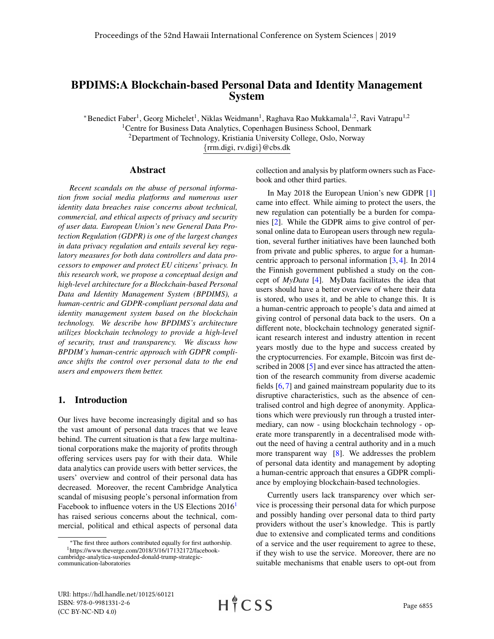# BPDIMS:A Blockchain-based Personal Data and Identity Management System

\*Benedict Faber<sup>1</sup>, Georg Michelet<sup>1</sup>, Niklas Weidmann<sup>1</sup>, Raghava Rao Mukkamala<sup>1,2</sup>, Ravi Vatrapu<sup>1,2</sup> <sup>1</sup>Centre for Business Data Analytics, Copenhagen Business School, Denmark <sup>2</sup>Department of Technology, Kristiania University College, Oslo, Norway {rrm.digi, rv.digi}@cbs.dk

#### Abstract

*Recent scandals on the abuse of personal information from social media platforms and numerous user identity data breaches raise concerns about technical, commercial, and ethical aspects of privacy and security of user data. European Union's new General Data Protection Regulation (GDPR) is one of the largest changes in data privacy regulation and entails several key regulatory measures for both data controllers and data processors to empower and protect EU citizens' privacy. In this research work, we propose a conceptual design and high-level architecture for a Blockchain-based Personal Data and Identity Management System (BPDIMS), a human-centric and GDPR-compliant personal data and identity management system based on the blockchain technology. We describe how BPDIMS's architecture utilizes blockchain technology to provide a high-level of security, trust and transparency. We discuss how BPDIM's human-centric approach with GDPR compliance shifts the control over personal data to the end users and empowers them better.*

### 1. Introduction

Our lives have become increasingly digital and so has the vast amount of personal data traces that we leave behind. The current situation is that a few large multinational corporations make the majority of profits through offering services users pay for with their data. While data analytics can provide users with better services, the users' overview and control of their personal data has decreased. Moreover, the recent Cambridge Analytica scandal of misusing people's personal information from Facebook to influence voters in the US Elections 20[1](#page-0-0)6<sup>1</sup> has raised serious concerns about the technical, commercial, political and ethical aspects of personal data

collection and analysis by platform owners such as Facebook and other third parties.

In May 2018 the European Union's new GDPR [\[1\]](#page-9-0) came into effect. While aiming to protect the users, the new regulation can potentially be a burden for companies [\[2\]](#page-9-1). While the GDPR aims to give control of personal online data to European users through new regulation, several further initiatives have been launched both from private and public spheres, to argue for a humancentric approach to personal information [\[3,](#page-9-2) [4\]](#page-9-3). In 2014 the Finnish government published a study on the concept of *MyData* [\[4\]](#page-9-3). MyData facilitates the idea that users should have a better overview of where their data is stored, who uses it, and be able to change this. It is a human-centric approach to people's data and aimed at giving control of personal data back to the users. On a different note, blockchain technology generated significant research interest and industry attention in recent years mostly due to the hype and success created by the cryptocurrencies. For example, Bitcoin was first de-scribed in 2008 [\[5\]](#page-9-4) and ever since has attracted the attention of the research community from diverse academic fields [\[6,](#page-9-5) [7\]](#page-9-6) and gained mainstream popularity due to its disruptive characteristics, such as the absence of centralised control and high degree of anonymity. Applications which were previously run through a trusted intermediary, can now - using blockchain technology - operate more transparently in a decentralised mode without the need of having a central authority and in a much more transparent way [\[8\]](#page-9-7). We addresses the problem of personal data identity and management by adopting a human-centric approach that ensures a GDPR compliance by employing blockchain-based technologies.

Currently users lack transparency over which service is processing their personal data for which purpose and possibly handing over personal data to third party providers without the user's knowledge. This is partly due to extensive and complicated terms and conditions of a service and the user requirement to agree to these, if they wish to use the service. Moreover, there are no suitable mechanisms that enable users to opt-out from

<span id="page-0-0"></span><sup>∗</sup>The first three authors contributed equally for first authorship. <sup>1</sup>https://www.theverge.com/2018/3/16/17132172/facebookcambridge-analytica-suspended-donald-trump-strategiccommunication-laboratories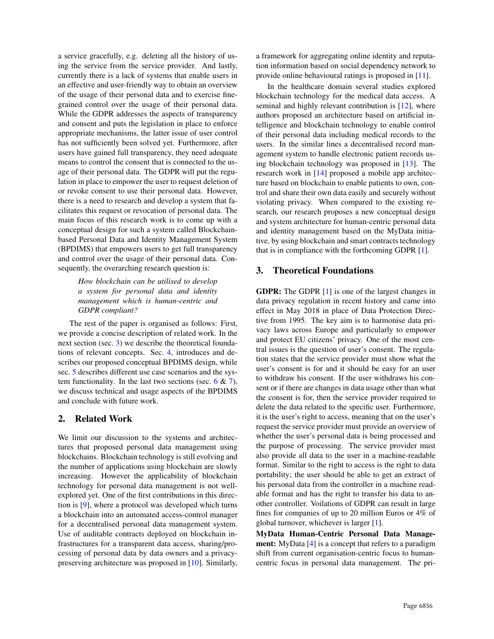a service gracefully, e.g. deleting all the history of using the service from the service provider. And lastly, currently there is a lack of systems that enable users in an effective and user-friendly way to obtain an overview of the usage of their personal data and to exercise finegrained control over the usage of their personal data. While the GDPR addresses the aspects of transparency and consent and puts the legislation in place to enforce appropriate mechanisms, the latter issue of user control has not sufficiently been solved yet. Furthermore, after users have gained full transparency, they need adequate means to control the consent that is connected to the usage of their personal data. The GDPR will put the regulation in place to empower the user to request deletion of or revoke consent to use their personal data. However, there is a need to research and develop a system that facilitates this request or revocation of personal data. The main focus of this research work is to come up with a conceptual design for such a system called Blockchainbased Personal Data and Identity Management System (BPDIMS) that empowers users to get full transparency and control over the usage of their personal data. Consequently, the overarching research question is:

> *How blockchain can be utilised to develop a system for personal data and identity management which is human-centric and GDPR compliant?*

The rest of the paper is organised as follows: First, we provide a concise description of related work. In the next section (sec. [3\)](#page-1-0) we describe the theoretical foundations of relevant concepts. Sec. [4,](#page-3-0) introduces and describes our proposed conceptual BPDIMS design, while sec. [5](#page-6-0) describes different use case scenarios and the system functionality. In the last two sections (sec.  $6 \& 7$  $6 \& 7$ ), we discuss technical and usage aspects of the BPDIMS and conclude with future work.

## 2. Related Work

We limit our discussion to the systems and architectures that proposed personal data management using blockchains. Blockchain technology is still evolving and the number of applications using blockchain are slowly increasing. However the applicability of blockchain technology for personal data management is not wellexplored yet. One of the first contributions in this direction is [\[9\]](#page-9-8), where a protocol was developed which turns a blockchain into an automated access-control manager for a decentralised personal data management system. Use of auditable contracts deployed on blockchain infrastructures for a transparent data access, sharing/processing of personal data by data owners and a privacypreserving architecture was proposed in [\[10\]](#page-9-9). Similarly, a framework for aggregating online identity and reputation information based on social dependency network to provide online behavioural ratings is proposed in [\[11\]](#page-9-10).

In the healthcare domain several studies explored blockchain technology for the medical data access. A seminal and highly relevant contribution is [\[12\]](#page-9-11), where authors proposed an architecture based on artificial intelligence and blockchain technology to enable control of their personal data including medical records to the users. In the similar lines a decentralised record management system to handle electronic patient records using blockchain technology was proposed in [\[13\]](#page-9-12). The research work in [\[14\]](#page-9-13) proposed a mobile app architecture based on blockchain to enable patients to own, control and share their own data easily and securely without violating privacy. When compared to the existing research, our research proposes a new conceptual design and system architecture for human-centric personal data and identity management based on the MyData initiative, by using blockchain and smart contracts technology that is in compliance with the forthcoming GDPR [\[1\]](#page-9-0).

# <span id="page-1-0"></span>3. Theoretical Foundations

GDPR: The GDPR [\[1\]](#page-9-0) is one of the largest changes in data privacy regulation in recent history and came into effect in May 2018 in place of Data Protection Directive from 1995. The key aim is to harmonise data privacy laws across Europe and particularly to empower and protect EU citizens' privacy. One of the most central issues is the question of user's consent. The regulation states that the service provider must show what the user's consent is for and it should be easy for an user to withdraw his consent. If the user withdraws his consent or if there are changes in data usage other than what the consent is for, then the service provider required to delete the data related to the specific user. Furthermore, it is the user's right to access, meaning that on the user's request the service provider must provide an overview of whether the user's personal data is being processed and the purpose of processing. The service provider must also provide all data to the user in a machine-readable format. Similar to the right to access is the right to data portability; the user should be able to get an extract of his personal data from the controller in a machine readable format and has the right to transfer his data to another controller. Voilations of GDPR can result in large fines for companies of up to 20 million Euros or 4% of global turnover, whichever is larger [\[1\]](#page-9-0).

MyData Human-Centric Personal Data Management: MyData [\[4\]](#page-9-3) is a concept that refers to a paradigm shift from current organisation-centric focus to humancentric focus in personal data management. The pri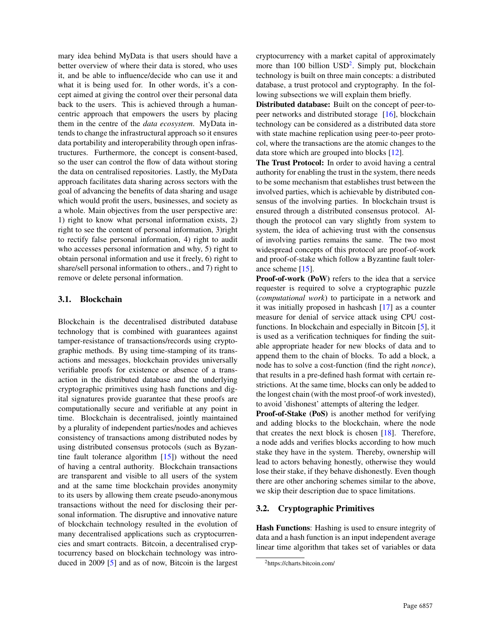mary idea behind MyData is that users should have a better overview of where their data is stored, who uses it, and be able to influence/decide who can use it and what it is being used for. In other words, it's a concept aimed at giving the control over their personal data back to the users. This is achieved through a humancentric approach that empowers the users by placing them in the centre of the *data ecosystem*. MyData intends to change the infrastructural approach so it ensures data portability and interoperability through open infrastructures. Furthermore, the concept is consent-based, so the user can control the flow of data without storing the data on centralised repositories. Lastly, the MyData approach facilitates data sharing across sectors with the goal of advancing the benefits of data sharing and usage which would profit the users, businesses, and society as a whole. Main objectives from the user perspective are: 1) right to know what personal information exists, 2) right to see the content of personal information, 3)right to rectify false personal information, 4) right to audit who accesses personal information and why, 5) right to obtain personal information and use it freely, 6) right to share/sell personal information to others., and 7) right to remove or delete personal information.

## 3.1. Blockchain

Blockchain is the decentralised distributed database technology that is combined with guarantees against tamper-resistance of transactions/records using cryptographic methods. By using time-stamping of its transactions and messages, blockchain provides universally verifiable proofs for existence or absence of a transaction in the distributed database and the underlying cryptographic primitives using hash functions and digital signatures provide guarantee that these proofs are computationally secure and verifiable at any point in time. Blockchain is decentralised, jointly maintained by a plurality of independent parties/nodes and achieves consistency of transactions among distributed nodes by using distributed consensus protocols (such as Byzantine fault tolerance algorithm [\[15\]](#page-9-14)) without the need of having a central authority. Blockchain transactions are transparent and visible to all users of the system and at the same time blockchain provides anonymity to its users by allowing them create pseudo-anonymous transactions without the need for disclosing their personal information. The disruptive and innovative nature of blockchain technology resulted in the evolution of many decentralised applications such as cryptocurrencies and smart contracts. Bitcoin, a decentralised cryptocurrency based on blockchain technology was introduced in 2009 [\[5\]](#page-9-4) and as of now, Bitcoin is the largest

cryptocurrency with a market capital of approximately more than 100 billion USD<sup>[2](#page-2-0)</sup>. Simply put, blockchain technology is built on three main concepts: a distributed database, a trust protocol and cryptography. In the following subsections we will explain them briefly.

Distributed database: Built on the concept of peer-topeer networks and distributed storage [\[16\]](#page-9-15), blockchain technology can be considered as a distributed data store with state machine replication using peer-to-peer protocol, where the transactions are the atomic changes to the data store which are grouped into blocks [\[12\]](#page-9-11).

The Trust Protocol: In order to avoid having a central authority for enabling the trust in the system, there needs to be some mechanism that establishes trust between the involved parties, which is achievable by distributed consensus of the involving parties. In blockchain trsust is ensured through a distributed consensus protocol. Although the protocol can vary slightly from system to system, the idea of achieving trust with the consensus of involving parties remains the same. The two most widespread concepts of this protocol are proof-of-work and proof-of-stake which follow a Byzantine fault tolerance scheme [\[15\]](#page-9-14).

Proof-of-work (PoW) refers to the idea that a service requester is required to solve a cryptographic puzzle (*computational work*) to participate in a network and it was initially proposed in hashcash [\[17\]](#page-9-16) as a counter measure for denial of service attack using CPU costfunctions. In blockchain and especially in Bitcoin [\[5\]](#page-9-4), it is used as a verification techniques for finding the suitable appropriate header for new blocks of data and to append them to the chain of blocks. To add a block, a node has to solve a cost-function (find the right *nonce*), that results in a pre-defined hash format with certain restrictions. At the same time, blocks can only be added to the longest chain (with the most proof-of work invested), to avoid 'dishonest' attempts of altering the ledger.

Proof-of-Stake (PoS) is another method for verifying and adding blocks to the blockchain, where the node that creates the next block is chosen [\[18\]](#page-9-17). Therefore, a node adds and verifies blocks according to how much stake they have in the system. Thereby, ownership will lead to actors behaving honestly, otherwise they would lose their stake, if they behave dishonestly. Even though there are other anchoring schemes similar to the above, we skip their description due to space limitations.

## 3.2. Cryptographic Primitives

Hash Functions: Hashing is used to ensure integrity of data and a hash function is an input independent average linear time algorithm that takes set of variables or data

<span id="page-2-0"></span><sup>2</sup>https://charts.bitcoin.com/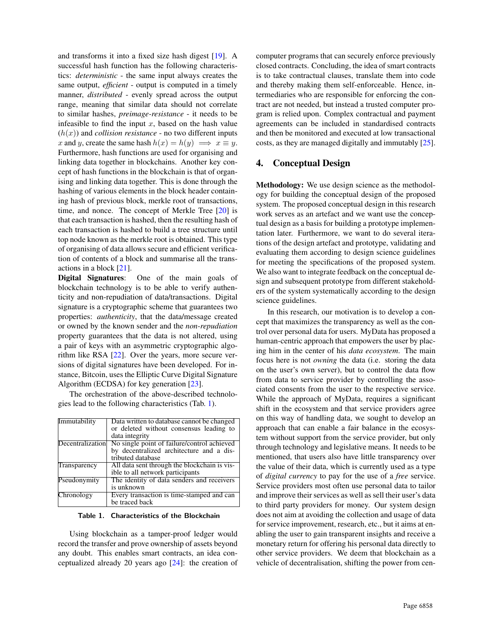and transforms it into a fixed size hash digest [\[19\]](#page-9-18). A successful hash function has the following characteristics: *deterministic* - the same input always creates the same output, *efficient* - output is computed in a timely manner, *distributed* - evenly spread across the output range, meaning that similar data should not correlate to similar hashes, *preimage-resistance* - it needs to be infeasible to find the input  $x$ , based on the hash value  $(h(x))$  and *collision resistance* - no two different inputs x and y, create the same hash  $h(x) = h(y) \implies x \equiv y$ . Furthermore, hash functions are used for organising and linking data together in blockchains. Another key concept of hash functions in the blockchain is that of organising and linking data together. This is done through the hashing of various elements in the block header containing hash of previous block, merkle root of transactions, time, and nonce. The concept of Merkle Tree [\[20\]](#page-9-19) is that each transaction is hashed, then the resulting hash of each transaction is hashed to build a tree structure until top node known as the merkle root is obtained. This type of organising of data allows secure and efficient verification of contents of a block and summarise all the transactions in a block [\[21\]](#page-9-20).

Digital Signatures: One of the main goals of blockchain technology is to be able to verify authenticity and non-repudiation of data/transactions. Digital signature is a cryptographic scheme that guarantees two properties: *authenticity*, that the data/message created or owned by the known sender and the *non-repudiation* property guarantees that the data is not altered, using a pair of keys with an asymmetric cryptographic algorithm like RSA [\[22\]](#page-9-21). Over the years, more secure versions of digital signatures have been developed. For instance, Bitcoin, uses the Elliptic Curve Digital Signature Algorithm (ECDSA) for key generation [\[23\]](#page-9-22).

The orchestration of the above-described technologies lead to the following characteristics (Tab. [1\)](#page-3-1).

| Immutability | Data written to database cannot be changed                   |
|--------------|--------------------------------------------------------------|
|              | or deleted without consensus leading to                      |
|              | data integrity                                               |
|              | Decentralization No single point of failure/control achieved |
|              | by decentralized architecture and a dis-                     |
|              | tributed database                                            |
| Transparency | All data sent through the blockchain is vis-                 |
|              | ible to all network participants                             |
| Pseudonymity | The identity of data senders and receivers                   |
|              | is unknown                                                   |
| Chronology   | Every transaction is time-stamped and can                    |
|              | be traced back                                               |

#### <span id="page-3-1"></span>Table 1. Characteristics of the Blockchain

Using blockchain as a tamper-proof ledger would record the transfer and prove ownership of assets beyond any doubt. This enables smart contracts, an idea conceptualized already 20 years ago [\[24\]](#page-9-23): the creation of computer programs that can securely enforce previously closed contracts. Concluding, the idea of smart contracts is to take contractual clauses, translate them into code and thereby making them self-enforceable. Hence, intermediaries who are responsible for enforcing the contract are not needed, but instead a trusted computer program is relied upon. Complex contractual and payment agreements can be included in standardised contracts and then be monitored and executed at low transactional costs, as they are managed digitally and immutably [\[25\]](#page-9-24).

## <span id="page-3-0"></span>4. Conceptual Design

Methodology: We use design science as the methodology for building the conceptual design of the proposed system. The proposed conceptual design in this research work serves as an artefact and we want use the conceptual design as a basis for building a prototype implementation later. Furthermore, we want to do several iterations of the design artefact and prototype, validating and evaluating them according to design science guidelines for meeting the specifications of the proposed system. We also want to integrate feedback on the conceptual design and subsequent prototype from different stakeholders of the system systematically according to the design science guidelines.

In this research, our motivation is to develop a concept that maximizes the transparency as well as the control over personal data for users. MyData has proposed a human-centric approach that empowers the user by placing him in the center of his *data ecosystem*. The main focus here is not *owning* the data (i.e. storing the data on the user's own server), but to control the data flow from data to service provider by controlling the associated consents from the user to the respective service. While the approach of MyData, requires a significant shift in the ecosystem and that service providers agree on this way of handling data, we sought to develop an approach that can enable a fair balance in the ecosystem without support from the service provider, but only through technology and legislative means. It needs to be mentioned, that users also have little transparency over the value of their data, which is currently used as a type of *digital currency* to pay for the use of a *free* service. Service providers most often use personal data to tailor and improve their services as well as sell their user's data to third party providers for money. Our system design does not aim at avoiding the collection and usage of data for service improvement, research, etc., but it aims at enabling the user to gain transparent insights and receive a monetary return for offering his personal data directly to other service providers. We deem that blockchain as a vehicle of decentralisation, shifting the power from cen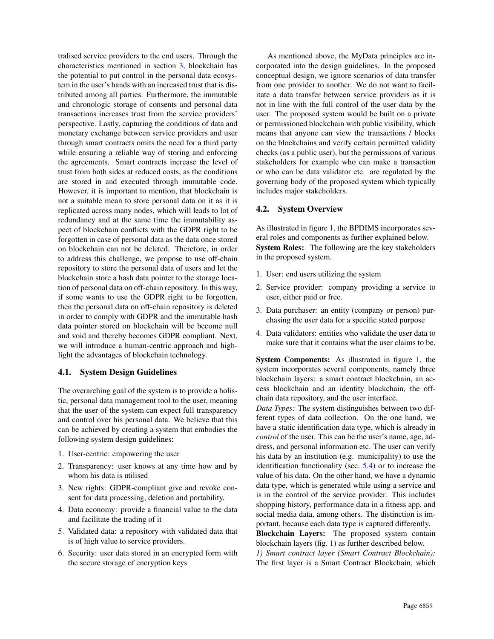tralised service providers to the end users. Through the characteristics mentioned in section [3,](#page-1-0) blockchain has the potential to put control in the personal data ecosystem in the user's hands with an increased trust that is distributed among all parties. Furthermore, the immutable and chronologic storage of consents and personal data transactions increases trust from the service providers' perspective. Lastly, capturing the conditions of data and monetary exchange between service providers and user through smart contracts omits the need for a third party while ensuring a reliable way of storing and enforcing the agreements. Smart contracts increase the level of trust from both sides at reduced costs, as the conditions are stored in and executed through immutable code. However, it is important to mention, that blockchain is not a suitable mean to store personal data on it as it is replicated across many nodes, which will leads to lot of redundancy and at the same time the immutability aspect of blockchain conflicts with the GDPR right to be forgotten in case of personal data as the data once stored on blockchain can not be deleted. Therefore, in order to address this challenge, we propose to use off-chain repository to store the personal data of users and let the blockchain store a hash data pointer to the storage location of personal data on off-chain repository. In this way, if some wants to use the GDPR right to be forgotten, then the personal data on off-chain repository is deleted in order to comply with GDPR and the immutable hash data pointer stored on blockchain will be become null and void and thereby becomes GDPR compliant. Next, we will introduce a human-centric approach and highlight the advantages of blockchain technology.

## 4.1. System Design Guidelines

The overarching goal of the system is to provide a holistic, personal data management tool to the user, meaning that the user of the system can expect full transparency and control over his personal data. We believe that this can be achieved by creating a system that embodies the following system design guidelines:

- 1. User-centric: empowering the user
- 2. Transparency: user knows at any time how and by whom his data is utilised
- 3. New rights: GDPR-compliant give and revoke consent for data processing, deletion and portability.
- 4. Data economy: provide a financial value to the data and facilitate the trading of it
- 5. Validated data: a repository with validated data that is of high value to service providers.
- 6. Security: user data stored in an encrypted form with the secure storage of encryption keys

As mentioned above, the MyData principles are incorporated into the design guidelines. In the proposed conceptual design, we ignore scenarios of data transfer from one provider to another. We do not want to facilitate a data transfer between service providers as it is not in line with the full control of the user data by the user. The proposed system would be built on a private or permissioned blockchain with public visibility, which means that anyone can view the transactions / blocks on the blockchains and verify certain permitted validity checks (as a public user), but the permissions of various stakeholders for example who can make a transaction or who can be data validator etc. are regulated by the governing body of the proposed system which typically includes major stakeholders.

### 4.2. System Overview

As illustrated in figure [1,](#page-5-0) the BPDIMS incorporates several roles and components as further explained below. System Roles: The following are the key stakeholders in the proposed system.

- 1. User: end users utilizing the system
- 2. Service provider: company providing a service to user, either paid or free.
- 3. Data purchaser: an entity (company or person) purchasing the user data for a specific stated purpose
- 4. Data validators: entities who validate the user data to make sure that it contains what the user claims to be.

System Components: As illustrated in figure [1,](#page-5-0) the system incorporates several components, namely three blockchain layers: a smart contract blockchain, an access blockchain and an identity blockchain, the offchain data repository, and the user interface.

*Data Types:* The system distinguishes between two different types of data collection. On the one hand, we have a static identification data type, which is already in *control* of the user. This can be the user's name, age, address, and personal information etc. The user can verify his data by an institution (e.g. municipality) to use the identification functionality (sec. [5.4\)](#page-7-0) or to increase the value of his data. On the other hand, we have a dynamic data type, which is generated while using a service and is in the control of the service provider. This includes shopping history, performance data in a fitness app, and social media data, among others. The distinction is important, because each data type is captured differently.

Blockchain Layers: The proposed system contain blockchain layers (fig. [1\)](#page-5-0) as further described below.

*1) Smart contract layer (Smart Contract Blockchain):* The first layer is a Smart Contract Blockchain, which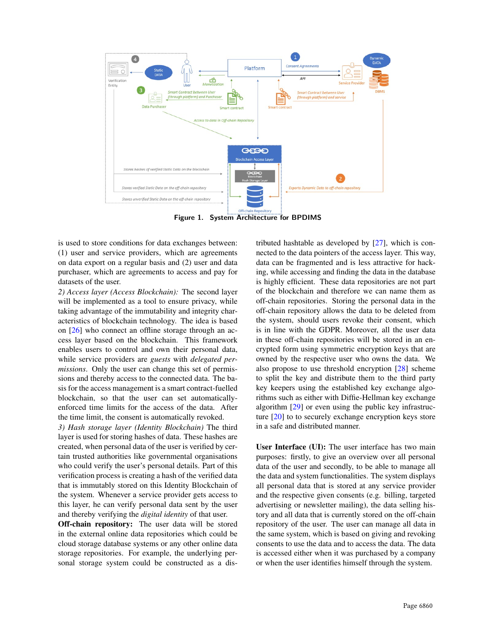

<span id="page-5-0"></span>Figure 1. System Architecture for BPDIMS

is used to store conditions for data exchanges between: (1) user and service providers, which are agreements on data export on a regular basis and (2) user and data purchaser, which are agreements to access and pay for datasets of the user.

*2) Access layer (Access Blockchain):* The second layer will be implemented as a tool to ensure privacy, while taking advantage of the immutability and integrity characteristics of blockchain technology. The idea is based on [\[26\]](#page-9-25) who connect an offline storage through an access layer based on the blockchain. This framework enables users to control and own their personal data, while service providers are *guests* with *delegated permissions*. Only the user can change this set of permissions and thereby access to the connected data. The basis for the access management is a smart contract-fuelled blockchain, so that the user can set automaticallyenforced time limits for the access of the data. After the time limit, the consent is automatically revoked.

*3) Hash storage layer (Identity Blockchain)* The third layer is used for storing hashes of data. These hashes are created, when personal data of the user is verified by certain trusted authorities like governmental organisations who could verify the user's personal details. Part of this verification process is creating a hash of the verified data that is immutably stored on this Identity Blockchain of the system. Whenever a service provider gets access to this layer, he can verify personal data sent by the user and thereby verifying the *digital identity* of that user.

Off-chain repository: The user data will be stored in the external online data repositories which could be cloud storage database systems or any other online data storage repositories. For example, the underlying personal storage system could be constructed as a dis-

tributed hashtable as developed by [\[27\]](#page-9-26), which is connected to the data pointers of the access layer. This way, data can be fragmented and is less attractive for hacking, while accessing and finding the data in the database is highly efficient. These data repositories are not part of the blockchain and therefore we can name them as off-chain repositories. Storing the personal data in the off-chain repository allows the data to be deleted from the system, should users revoke their consent, which is in line with the GDPR. Moreover, all the user data in these off-chain repositories will be stored in an encrypted form using symmetric encryption keys that are owned by the respective user who owns the data. We also propose to use threshold encryption [\[28\]](#page-9-27) scheme to split the key and distribute them to the third party key keepers using the established key exchange algorithms such as either with Diffie-Hellman key exchange algorithm [\[29\]](#page-9-28) or even using the public key infrastructure [\[20\]](#page-9-19) to to securely exchange encryption keys store in a safe and distributed manner.

User Interface (UI): The user interface has two main purposes: firstly, to give an overview over all personal data of the user and secondly, to be able to manage all the data and system functionalities. The system displays all personal data that is stored at any service provider and the respective given consents (e.g. billing, targeted advertising or newsletter mailing), the data selling history and all data that is currently stored on the off-chain repository of the user. The user can manage all data in the same system, which is based on giving and revoking consents to use the data and to access the data. The data is accessed either when it was purchased by a company or when the user identifies himself through the system.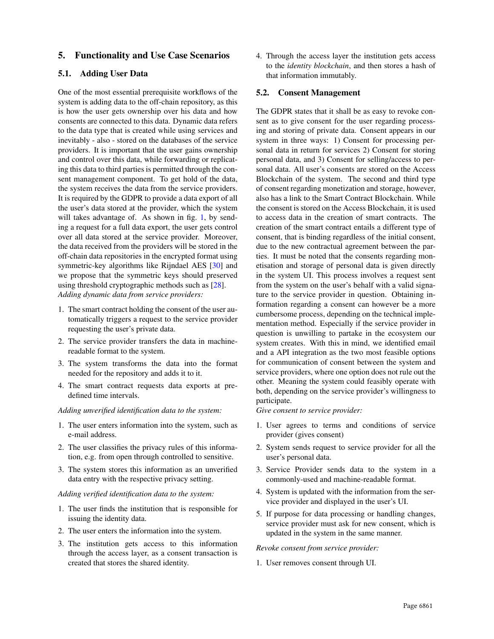## <span id="page-6-0"></span>5. Functionality and Use Case Scenarios

### 5.1. Adding User Data

One of the most essential prerequisite workflows of the system is adding data to the off-chain repository, as this is how the user gets ownership over his data and how consents are connected to this data. Dynamic data refers to the data type that is created while using services and inevitably - also - stored on the databases of the service providers. It is important that the user gains ownership and control over this data, while forwarding or replicating this data to third parties is permitted through the consent management component. To get hold of the data, the system receives the data from the service providers. It is required by the GDPR to provide a data export of all the user's data stored at the provider, which the system will takes advantage of. As shown in fig. [1,](#page-5-0) by sending a request for a full data export, the user gets control over all data stored at the service provider. Moreover, the data received from the providers will be stored in the off-chain data repositories in the encrypted format using symmetric-key algorithms like Rijndael AES [\[30\]](#page-9-29) and we propose that the symmetric keys should preserved using threshold cryptographic methods such as [\[28\]](#page-9-27). *Adding dynamic data from service providers:*

- 1. The smart contract holding the consent of the user automatically triggers a request to the service provider requesting the user's private data.
- 2. The service provider transfers the data in machinereadable format to the system.
- 3. The system transforms the data into the format needed for the repository and adds it to it.
- 4. The smart contract requests data exports at predefined time intervals.

#### *Adding unverified identification data to the system:*

- 1. The user enters information into the system, such as e-mail address.
- 2. The user classifies the privacy rules of this information, e.g. from open through controlled to sensitive.
- 3. The system stores this information as an unverified data entry with the respective privacy setting.

#### *Adding verified identification data to the system:*

- 1. The user finds the institution that is responsible for issuing the identity data.
- 2. The user enters the information into the system.
- 3. The institution gets access to this information through the access layer, as a consent transaction is created that stores the shared identity.

4. Through the access layer the institution gets access to the *identity blockchain*, and then stores a hash of that information immutably.

## 5.2. Consent Management

The GDPR states that it shall be as easy to revoke consent as to give consent for the user regarding processing and storing of private data. Consent appears in our system in three ways: 1) Consent for processing personal data in return for services 2) Consent for storing personal data, and 3) Consent for selling/access to personal data. All user's consents are stored on the Access Blockchain of the system. The second and third type of consent regarding monetization and storage, however, also has a link to the Smart Contract Blockchain. While the consent is stored on the Access Blockchain, it is used to access data in the creation of smart contracts. The creation of the smart contract entails a different type of consent, that is binding regardless of the initial consent, due to the new contractual agreement between the parties. It must be noted that the consents regarding monetisation and storage of personal data is given directly in the system UI. This process involves a request sent from the system on the user's behalf with a valid signature to the service provider in question. Obtaining information regarding a consent can however be a more cumbersome process, depending on the technical implementation method. Especially if the service provider in question is unwilling to partake in the ecosystem our system creates. With this in mind, we identified email and a API integration as the two most feasible options for communication of consent between the system and service providers, where one option does not rule out the other. Meaning the system could feasibly operate with both, depending on the service provider's willingness to participate.

*Give consent to service provider:*

- 1. User agrees to terms and conditions of service provider (gives consent)
- 2. System sends request to service provider for all the user's personal data.
- 3. Service Provider sends data to the system in a commonly-used and machine-readable format.
- 4. System is updated with the information from the service provider and displayed in the user's UI.
- 5. If purpose for data processing or handling changes, service provider must ask for new consent, which is updated in the system in the same manner.

#### *Revoke consent from service provider:*

1. User removes consent through UI.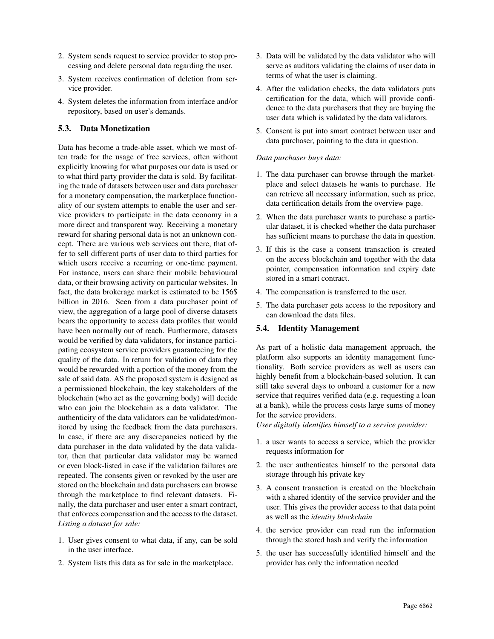- 2. System sends request to service provider to stop processing and delete personal data regarding the user.
- 3. System receives confirmation of deletion from service provider.
- 4. System deletes the information from interface and/or repository, based on user's demands.

## 5.3. Data Monetization

Data has become a trade-able asset, which we most often trade for the usage of free services, often without explicitly knowing for what purposes our data is used or to what third party provider the data is sold. By facilitating the trade of datasets between user and data purchaser for a monetary compensation, the marketplace functionality of our system attempts to enable the user and service providers to participate in the data economy in a more direct and transparent way. Receiving a monetary reward for sharing personal data is not an unknown concept. There are various web services out there, that offer to sell different parts of user data to third parties for which users receive a recurring or one-time payment. For instance, users can share their mobile behavioural data, or their browsing activity on particular websites. In fact, the data brokerage market is estimated to be 156\$ billion in 2016. Seen from a data purchaser point of view, the aggregation of a large pool of diverse datasets bears the opportunity to access data profiles that would have been normally out of reach. Furthermore, datasets would be verified by data validators, for instance participating ecosystem service providers guaranteeing for the quality of the data. In return for validation of data they would be rewarded with a portion of the money from the sale of said data. AS the proposed system is designed as a permissioned blockchain, the key stakeholders of the blockchain (who act as the governing body) will decide who can join the blockchain as a data validator. The authenticity of the data validators can be validated/monitored by using the feedback from the data purchasers. In case, if there are any discrepancies noticed by the data purchaser in the data validated by the data validator, then that particular data validator may be warned or even block-listed in case if the validation failures are repeated. The consents given or revoked by the user are stored on the blockchain and data purchasers can browse through the marketplace to find relevant datasets. Finally, the data purchaser and user enter a smart contract, that enforces compensation and the access to the dataset. *Listing a dataset for sale:*

- 1. User gives consent to what data, if any, can be sold in the user interface.
- 2. System lists this data as for sale in the marketplace.
- 3. Data will be validated by the data validator who will serve as auditors validating the claims of user data in terms of what the user is claiming.
- 4. After the validation checks, the data validators puts certification for the data, which will provide confidence to the data purchasers that they are buying the user data which is validated by the data validators.
- 5. Consent is put into smart contract between user and data purchaser, pointing to the data in question.

### *Data purchaser buys data:*

- 1. The data purchaser can browse through the marketplace and select datasets he wants to purchase. He can retrieve all necessary information, such as price, data certification details from the overview page.
- 2. When the data purchaser wants to purchase a particular dataset, it is checked whether the data purchaser has sufficient means to purchase the data in question.
- 3. If this is the case a consent transaction is created on the access blockchain and together with the data pointer, compensation information and expiry date stored in a smart contract.
- 4. The compensation is transferred to the user.
- 5. The data purchaser gets access to the repository and can download the data files.

## <span id="page-7-0"></span>5.4. Identity Management

As part of a holistic data management approach, the platform also supports an identity management functionality. Both service providers as well as users can highly benefit from a blockchain-based solution. It can still take several days to onboard a customer for a new service that requires verified data (e.g. requesting a loan at a bank), while the process costs large sums of money for the service providers.

*User digitally identifies himself to a service provider:*

- 1. a user wants to access a service, which the provider requests information for
- 2. the user authenticates himself to the personal data storage through his private key
- 3. A consent transaction is created on the blockchain with a shared identity of the service provider and the user. This gives the provider access to that data point as well as the *identity blockchain*
- 4. the service provider can read run the information through the stored hash and verify the information
- 5. the user has successfully identified himself and the provider has only the information needed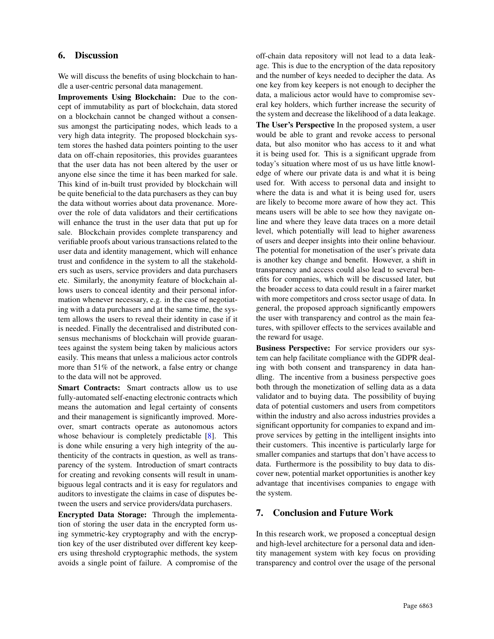## <span id="page-8-0"></span>6. Discussion

We will discuss the benefits of using blockchain to handle a user-centric personal data management.

Improvements Using Blockchain: Due to the concept of immutability as part of blockchain, data stored on a blockchain cannot be changed without a consensus amongst the participating nodes, which leads to a very high data integrity. The proposed blockchain system stores the hashed data pointers pointing to the user data on off-chain repositories, this provides guarantees that the user data has not been altered by the user or anyone else since the time it has been marked for sale. This kind of in-built trust provided by blockchain will be quite beneficial to the data purchasers as they can buy the data without worries about data provenance. Moreover the role of data validators and their certifications will enhance the trust in the user data that put up for sale. Blockchain provides complete transparency and verifiable proofs about various transactions related to the user data and identity management, which will enhance trust and confidence in the system to all the stakeholders such as users, service providers and data purchasers etc. Similarly, the anonymity feature of blockchain allows users to conceal identity and their personal information whenever necessary, e.g. in the case of negotiating with a data purchasers and at the same time, the system allows the users to reveal their identity in case if it is needed. Finally the decentralised and distributed consensus mechanisms of blockchain will provide guarantees against the system being taken by malicious actors easily. This means that unless a malicious actor controls more than 51% of the network, a false entry or change to the data will not be approved.

Smart Contracts: Smart contracts allow us to use fully-automated self-enacting electronic contracts which means the automation and legal certainty of consents and their management is significantly improved. Moreover, smart contracts operate as autonomous actors whose behaviour is completely predictable [\[8\]](#page-9-7). This is done while ensuring a very high integrity of the authenticity of the contracts in question, as well as transparency of the system. Introduction of smart contracts for creating and revoking consents will result in unambiguous legal contracts and it is easy for regulators and auditors to investigate the claims in case of disputes between the users and service providers/data purchasers.

Encrypted Data Storage: Through the implementation of storing the user data in the encrypted form using symmetric-key cryptography and with the encryption key of the user distributed over different key keepers using threshold cryptographic methods, the system avoids a single point of failure. A compromise of the off-chain data repository will not lead to a data leakage. This is due to the encryption of the data repository and the number of keys needed to decipher the data. As one key from key keepers is not enough to decipher the data, a malicious actor would have to compromise several key holders, which further increase the security of the system and decrease the likelihood of a data leakage.

The User's Perspective In the proposed system, a user would be able to grant and revoke access to personal data, but also monitor who has access to it and what it is being used for. This is a significant upgrade from today's situation where most of us us have little knowledge of where our private data is and what it is being used for. With access to personal data and insight to where the data is and what it is being used for, users are likely to become more aware of how they act. This means users will be able to see how they navigate online and where they leave data traces on a more detail level, which potentially will lead to higher awareness of users and deeper insights into their online behaviour. The potential for monetisation of the user's private data is another key change and benefit. However, a shift in transparency and access could also lead to several benefits for companies, which will be discussed later, but the broader access to data could result in a fairer market with more competitors and cross sector usage of data. In general, the proposed approach significantly empowers the user with transparency and control as the main features, with spillover effects to the services available and the reward for usage.

Business Perspective: For service providers our system can help facilitate compliance with the GDPR dealing with both consent and transparency in data handling. The incentive from a business perspective goes both through the monetization of selling data as a data validator and to buying data. The possibility of buying data of potential customers and users from competitors within the industry and also across industries provides a significant opportunity for companies to expand and improve services by getting in the intelligent insights into their customers. This incentive is particularly large for smaller companies and startups that don't have access to data. Furthermore is the possibility to buy data to discover new, potential market opportunities is another key advantage that incentivises companies to engage with the system.

## <span id="page-8-1"></span>7. Conclusion and Future Work

In this research work, we proposed a conceptual design and high-level architecture for a personal data and identity management system with key focus on providing transparency and control over the usage of the personal